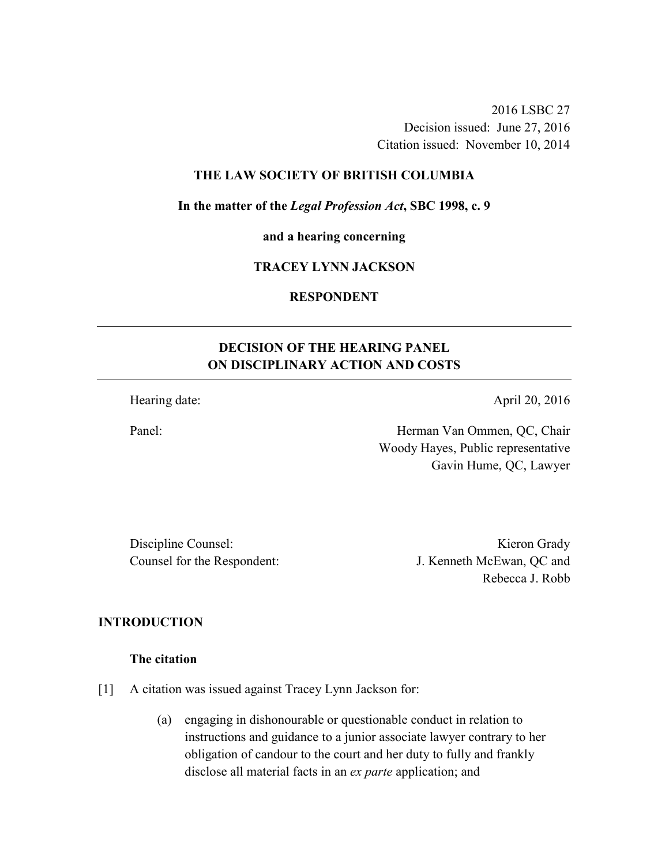2016 LSBC 27 Decision issued: June 27, 2016 Citation issued: November 10, 2014

# **THE LAW SOCIETY OF BRITISH COLUMBIA**

**In the matter of the** *Legal Profession Act***, SBC 1998, c. 9** 

**and a hearing concerning** 

# **TRACEY LYNN JACKSON**

### **RESPONDENT**

# **DECISION OF THE HEARING PANEL ON DISCIPLINARY ACTION AND COSTS**

Hearing date: April 20, 2016

Panel: Herman Van Ommen, QC, Chair Woody Hayes, Public representative Gavin Hume, QC, Lawyer

Discipline Counsel: Kieron Grady

Counsel for the Respondent: J. Kenneth McEwan, QC and Rebecca J. Robb

## **INTRODUCTION**

#### **The citation**

[1] A citation was issued against Tracey Lynn Jackson for:

(a) engaging in dishonourable or questionable conduct in relation to instructions and guidance to a junior associate lawyer contrary to her obligation of candour to the court and her duty to fully and frankly disclose all material facts in an *ex parte* application; and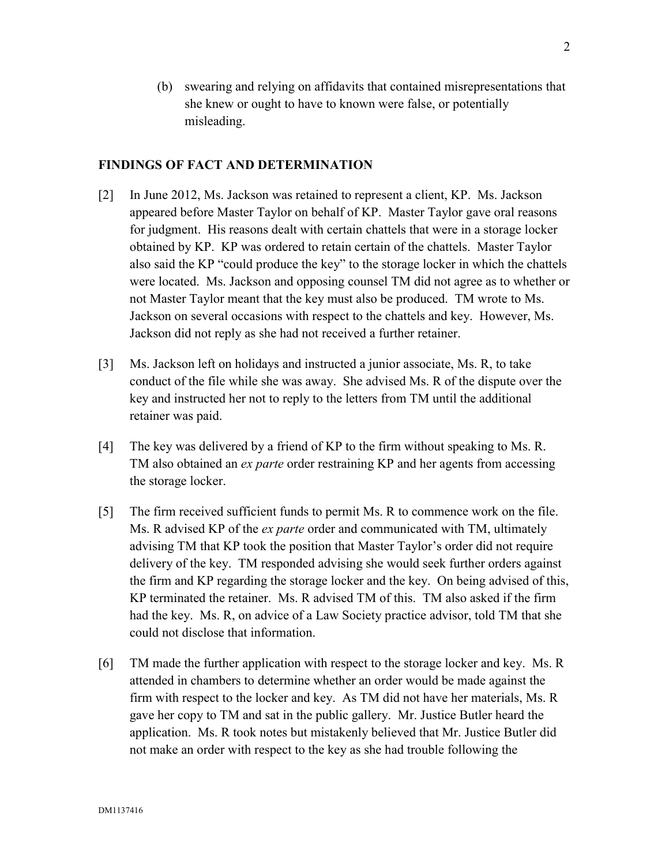(b) swearing and relying on affidavits that contained misrepresentations that she knew or ought to have to known were false, or potentially misleading.

### **FINDINGS OF FACT AND DETERMINATION**

- [2] In June 2012, Ms. Jackson was retained to represent a client, KP. Ms. Jackson appeared before Master Taylor on behalf of KP. Master Taylor gave oral reasons for judgment. His reasons dealt with certain chattels that were in a storage locker obtained by KP. KP was ordered to retain certain of the chattels. Master Taylor also said the KP "could produce the key" to the storage locker in which the chattels were located. Ms. Jackson and opposing counsel TM did not agree as to whether or not Master Taylor meant that the key must also be produced. TM wrote to Ms. Jackson on several occasions with respect to the chattels and key. However, Ms. Jackson did not reply as she had not received a further retainer.
- [3] Ms. Jackson left on holidays and instructed a junior associate, Ms. R, to take conduct of the file while she was away. She advised Ms. R of the dispute over the key and instructed her not to reply to the letters from TM until the additional retainer was paid.
- [4] The key was delivered by a friend of KP to the firm without speaking to Ms. R. TM also obtained an *ex parte* order restraining KP and her agents from accessing the storage locker.
- [5] The firm received sufficient funds to permit Ms. R to commence work on the file. Ms. R advised KP of the *ex parte* order and communicated with TM, ultimately advising TM that KP took the position that Master Taylor's order did not require delivery of the key. TM responded advising she would seek further orders against the firm and KP regarding the storage locker and the key. On being advised of this, KP terminated the retainer. Ms. R advised TM of this. TM also asked if the firm had the key. Ms. R, on advice of a Law Society practice advisor, told TM that she could not disclose that information.
- [6] TM made the further application with respect to the storage locker and key. Ms. R attended in chambers to determine whether an order would be made against the firm with respect to the locker and key. As TM did not have her materials, Ms. R gave her copy to TM and sat in the public gallery. Mr. Justice Butler heard the application. Ms. R took notes but mistakenly believed that Mr. Justice Butler did not make an order with respect to the key as she had trouble following the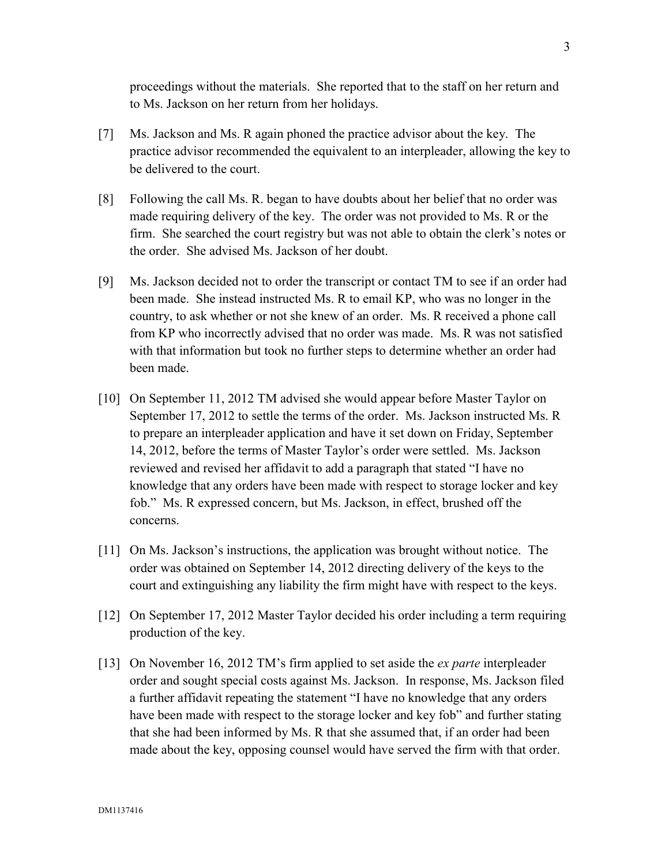proceedings without the materials. She reported that to the staff on her return and to Ms. Jackson on her return from her holidays.

- [7] Ms. Jackson and Ms. R again phoned the practice advisor about the key. The practice advisor recommended the equivalent to an interpleader, allowing the key to be delivered to the court.
- [8] Following the call Ms. R. began to have doubts about her belief that no order was made requiring delivery of the key. The order was not provided to Ms. R or the firm. She searched the court registry but was not able to obtain the clerk's notes or the order. She advised Ms. Jackson of her doubt.
- [9] Ms. Jackson decided not to order the transcript or contact TM to see if an order had been made. She instead instructed Ms. R to email KP, who was no longer in the country, to ask whether or not she knew of an order. Ms. R received a phone call from KP who incorrectly advised that no order was made. Ms. R was not satisfied with that information but took no further steps to determine whether an order had been made.
- [10] On September 11, 2012 TM advised she would appear before Master Taylor on September 17, 2012 to settle the terms of the order. Ms. Jackson instructed Ms. R to prepare an interpleader application and have it set down on Friday, September 14, 2012, before the terms of Master Taylor's order were settled. Ms. Jackson reviewed and revised her affidavit to add a paragraph that stated "I have no knowledge that any orders have been made with respect to storage locker and key fob." Ms. R expressed concern, but Ms. Jackson, in effect, brushed off the concerns.
- [11] On Ms. Jackson's instructions, the application was brought without notice. The order was obtained on September 14, 2012 directing delivery of the keys to the court and extinguishing any liability the firm might have with respect to the keys.
- [12] On September 17, 2012 Master Taylor decided his order including a term requiring production of the key.
- [13] On November 16, 2012 TM's firm applied to set aside the *ex parte* interpleader order and sought special costs against Ms. Jackson. In response, Ms. Jackson filed a further affidavit repeating the statement "I have no knowledge that any orders have been made with respect to the storage locker and key fob" and further stating that she had been informed by Ms. R that she assumed that, if an order had been made about the key, opposing counsel would have served the firm with that order.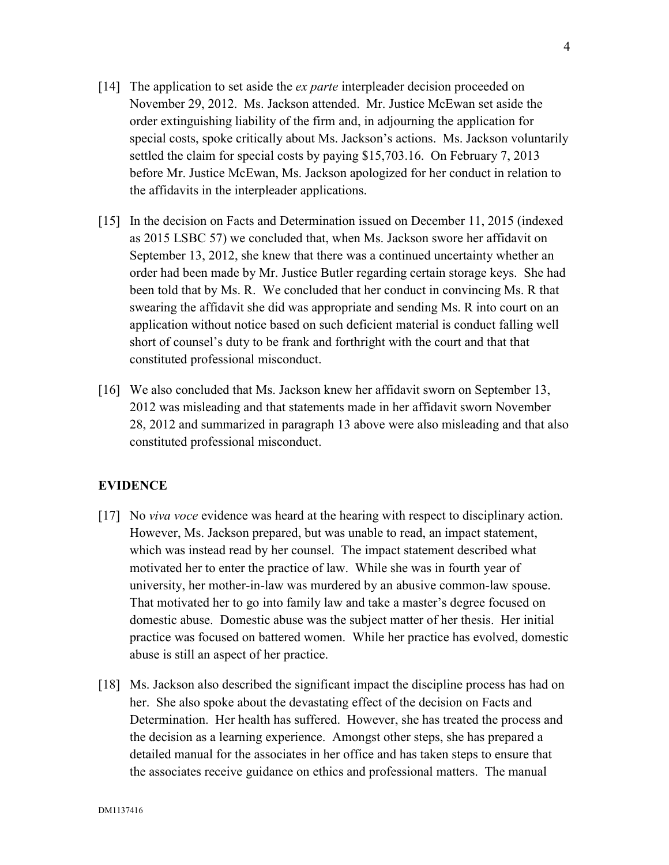- [14] The application to set aside the *ex parte* interpleader decision proceeded on November 29, 2012. Ms. Jackson attended. Mr. Justice McEwan set aside the order extinguishing liability of the firm and, in adjourning the application for special costs, spoke critically about Ms. Jackson's actions. Ms. Jackson voluntarily settled the claim for special costs by paying \$15,703.16. On February 7, 2013 before Mr. Justice McEwan, Ms. Jackson apologized for her conduct in relation to the affidavits in the interpleader applications.
- [15] In the decision on Facts and Determination issued on December 11, 2015 (indexed as 2015 LSBC 57) we concluded that, when Ms. Jackson swore her affidavit on September 13, 2012, she knew that there was a continued uncertainty whether an order had been made by Mr. Justice Butler regarding certain storage keys. She had been told that by Ms. R. We concluded that her conduct in convincing Ms. R that swearing the affidavit she did was appropriate and sending Ms. R into court on an application without notice based on such deficient material is conduct falling well short of counsel's duty to be frank and forthright with the court and that that constituted professional misconduct.
- [16] We also concluded that Ms. Jackson knew her affidavit sworn on September 13, 2012 was misleading and that statements made in her affidavit sworn November 28, 2012 and summarized in paragraph 13 above were also misleading and that also constituted professional misconduct.

# **EVIDENCE**

- [17] No *viva voce* evidence was heard at the hearing with respect to disciplinary action. However, Ms. Jackson prepared, but was unable to read, an impact statement, which was instead read by her counsel. The impact statement described what motivated her to enter the practice of law. While she was in fourth year of university, her mother-in-law was murdered by an abusive common-law spouse. That motivated her to go into family law and take a master's degree focused on domestic abuse. Domestic abuse was the subject matter of her thesis. Her initial practice was focused on battered women. While her practice has evolved, domestic abuse is still an aspect of her practice.
- [18] Ms. Jackson also described the significant impact the discipline process has had on her. She also spoke about the devastating effect of the decision on Facts and Determination. Her health has suffered. However, she has treated the process and the decision as a learning experience. Amongst other steps, she has prepared a detailed manual for the associates in her office and has taken steps to ensure that the associates receive guidance on ethics and professional matters. The manual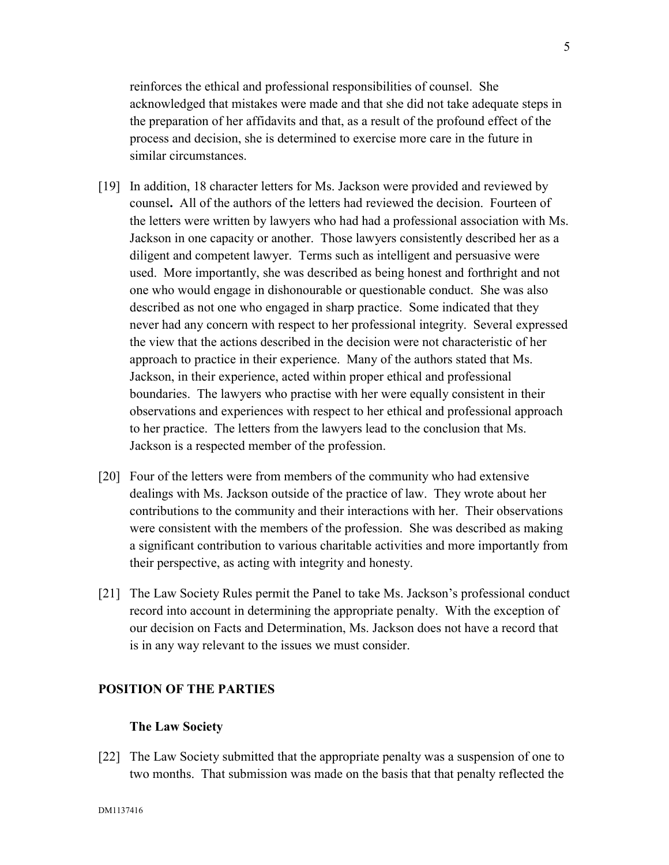reinforces the ethical and professional responsibilities of counsel. She acknowledged that mistakes were made and that she did not take adequate steps in the preparation of her affidavits and that, as a result of the profound effect of the process and decision, she is determined to exercise more care in the future in similar circumstances.

- [19] In addition, 18 character letters for Ms. Jackson were provided and reviewed by counsel**.** All of the authors of the letters had reviewed the decision. Fourteen of the letters were written by lawyers who had had a professional association with Ms. Jackson in one capacity or another. Those lawyers consistently described her as a diligent and competent lawyer. Terms such as intelligent and persuasive were used. More importantly, she was described as being honest and forthright and not one who would engage in dishonourable or questionable conduct. She was also described as not one who engaged in sharp practice. Some indicated that they never had any concern with respect to her professional integrity. Several expressed the view that the actions described in the decision were not characteristic of her approach to practice in their experience. Many of the authors stated that Ms. Jackson, in their experience, acted within proper ethical and professional boundaries. The lawyers who practise with her were equally consistent in their observations and experiences with respect to her ethical and professional approach to her practice. The letters from the lawyers lead to the conclusion that Ms. Jackson is a respected member of the profession.
- [20] Four of the letters were from members of the community who had extensive dealings with Ms. Jackson outside of the practice of law. They wrote about her contributions to the community and their interactions with her. Their observations were consistent with the members of the profession. She was described as making a significant contribution to various charitable activities and more importantly from their perspective, as acting with integrity and honesty.
- [21] The Law Society Rules permit the Panel to take Ms. Jackson's professional conduct record into account in determining the appropriate penalty. With the exception of our decision on Facts and Determination, Ms. Jackson does not have a record that is in any way relevant to the issues we must consider.

### **POSITION OF THE PARTIES**

## **The Law Society**

[22] The Law Society submitted that the appropriate penalty was a suspension of one to two months. That submission was made on the basis that that penalty reflected the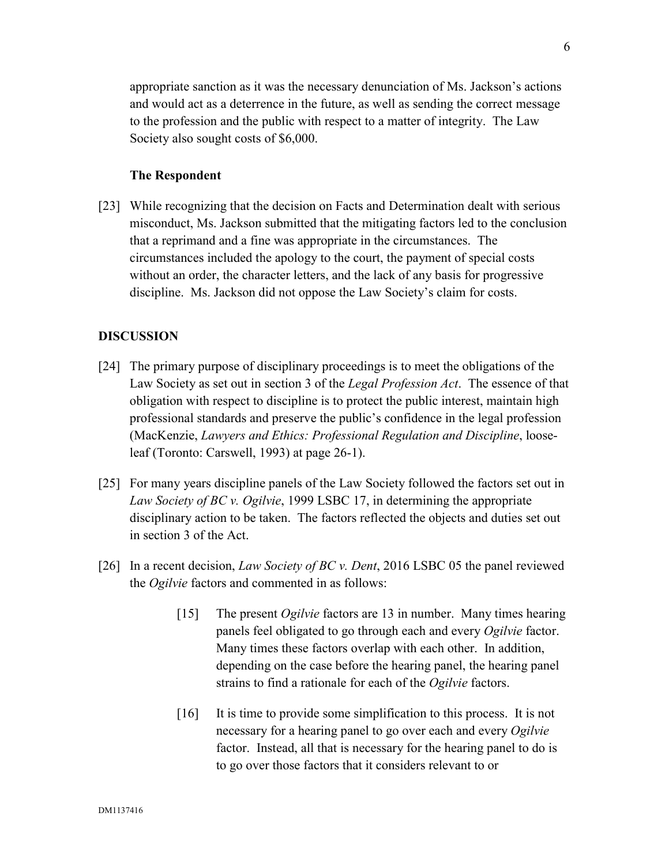appropriate sanction as it was the necessary denunciation of Ms. Jackson's actions and would act as a deterrence in the future, as well as sending the correct message to the profession and the public with respect to a matter of integrity. The Law Society also sought costs of \$6,000.

# **The Respondent**

[23] While recognizing that the decision on Facts and Determination dealt with serious misconduct, Ms. Jackson submitted that the mitigating factors led to the conclusion that a reprimand and a fine was appropriate in the circumstances. The circumstances included the apology to the court, the payment of special costs without an order, the character letters, and the lack of any basis for progressive discipline. Ms. Jackson did not oppose the Law Society's claim for costs.

#### **DISCUSSION**

- [24] The primary purpose of disciplinary proceedings is to meet the obligations of the Law Society as set out in section 3 of the *Legal Profession Act*. The essence of that obligation with respect to discipline is to protect the public interest, maintain high professional standards and preserve the public's confidence in the legal profession (MacKenzie, *Lawyers and Ethics: Professional Regulation and Discipline*, looseleaf (Toronto: Carswell, 1993) at page 26-1).
- [25] For many years discipline panels of the Law Society followed the factors set out in *Law Society of BC v. Ogilvie*, 1999 LSBC 17, in determining the appropriate disciplinary action to be taken. The factors reflected the objects and duties set out in section 3 of the Act.
- [26] In a recent decision, *Law Society of BC v. Dent*, 2016 LSBC 05 the panel reviewed the *Ogilvie* factors and commented in as follows:
	- [15] The present *Ogilvie* factors are 13 in number. Many times hearing panels feel obligated to go through each and every *Ogilvie* factor. Many times these factors overlap with each other. In addition, depending on the case before the hearing panel, the hearing panel strains to find a rationale for each of the *Ogilvie* factors.
	- [16] It is time to provide some simplification to this process. It is not necessary for a hearing panel to go over each and every *Ogilvie* factor. Instead, all that is necessary for the hearing panel to do is to go over those factors that it considers relevant to or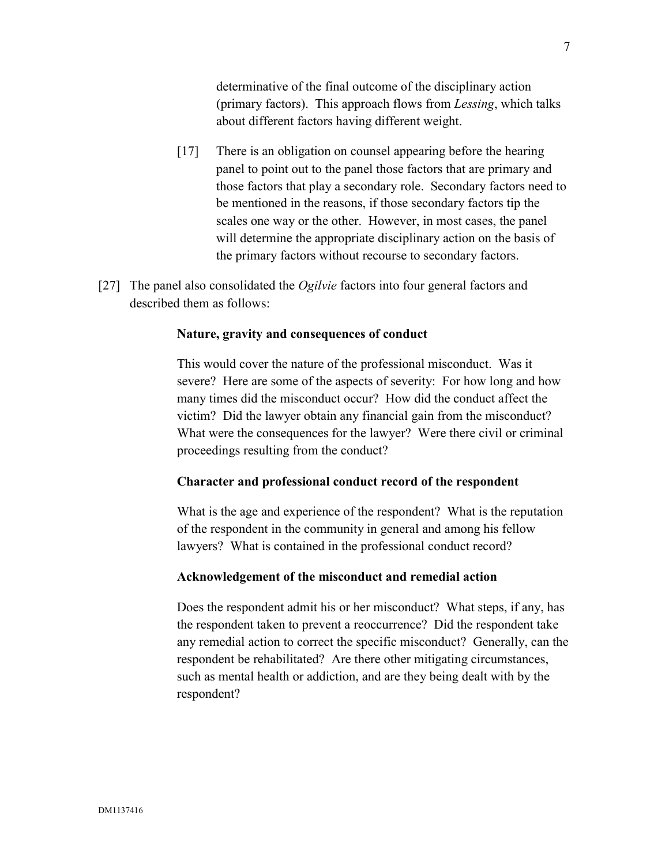determinative of the final outcome of the disciplinary action (primary factors). This approach flows from *Lessing*, which talks about different factors having different weight.

- [17] There is an obligation on counsel appearing before the hearing panel to point out to the panel those factors that are primary and those factors that play a secondary role. Secondary factors need to be mentioned in the reasons, if those secondary factors tip the scales one way or the other. However, in most cases, the panel will determine the appropriate disciplinary action on the basis of the primary factors without recourse to secondary factors.
- [27] The panel also consolidated the *Ogilvie* factors into four general factors and described them as follows:

#### **Nature, gravity and consequences of conduct**

This would cover the nature of the professional misconduct. Was it severe? Here are some of the aspects of severity: For how long and how many times did the misconduct occur? How did the conduct affect the victim? Did the lawyer obtain any financial gain from the misconduct? What were the consequences for the lawyer? Were there civil or criminal proceedings resulting from the conduct?

#### **Character and professional conduct record of the respondent**

What is the age and experience of the respondent? What is the reputation of the respondent in the community in general and among his fellow lawyers? What is contained in the professional conduct record?

### **Acknowledgement of the misconduct and remedial action**

Does the respondent admit his or her misconduct? What steps, if any, has the respondent taken to prevent a reoccurrence? Did the respondent take any remedial action to correct the specific misconduct? Generally, can the respondent be rehabilitated? Are there other mitigating circumstances, such as mental health or addiction, and are they being dealt with by the respondent?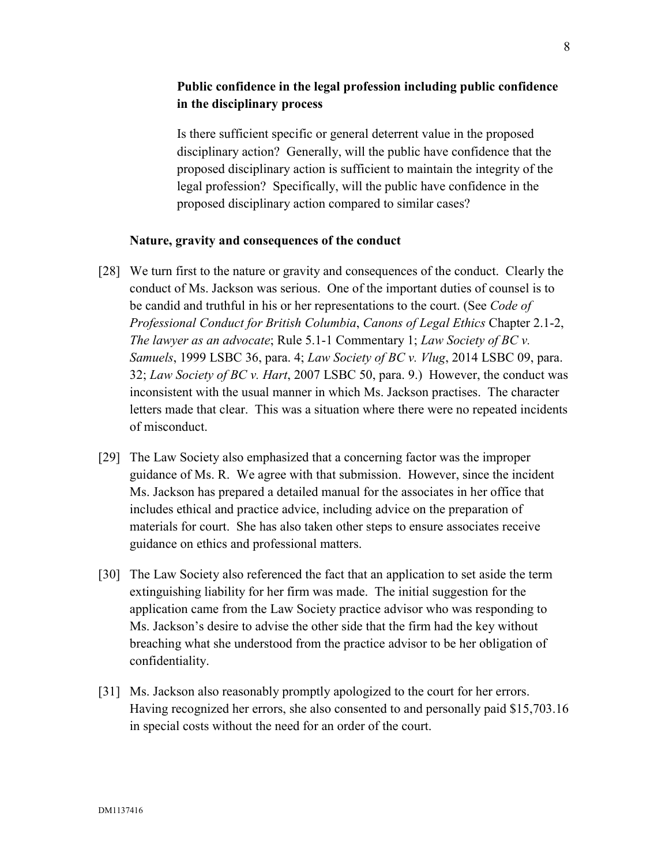# **Public confidence in the legal profession including public confidence in the disciplinary process**

Is there sufficient specific or general deterrent value in the proposed disciplinary action? Generally, will the public have confidence that the proposed disciplinary action is sufficient to maintain the integrity of the legal profession? Specifically, will the public have confidence in the proposed disciplinary action compared to similar cases?

## **Nature, gravity and consequences of the conduct**

- [28] We turn first to the nature or gravity and consequences of the conduct. Clearly the conduct of Ms. Jackson was serious. One of the important duties of counsel is to be candid and truthful in his or her representations to the court. (See *Code of Professional Conduct for British Columbia*, *Canons of Legal Ethics* Chapter 2.1-2, *The lawyer as an advocate*; Rule 5.1-1 Commentary 1; *Law Society of BC v. Samuels*, 1999 LSBC 36, para. 4; *Law Society of BC v. Vlug*, 2014 LSBC 09, para. 32; *Law Society of BC v. Hart*, 2007 LSBC 50, para. 9.) However, the conduct was inconsistent with the usual manner in which Ms. Jackson practises. The character letters made that clear. This was a situation where there were no repeated incidents of misconduct.
- [29] The Law Society also emphasized that a concerning factor was the improper guidance of Ms. R. We agree with that submission. However, since the incident Ms. Jackson has prepared a detailed manual for the associates in her office that includes ethical and practice advice, including advice on the preparation of materials for court. She has also taken other steps to ensure associates receive guidance on ethics and professional matters.
- [30] The Law Society also referenced the fact that an application to set aside the term extinguishing liability for her firm was made. The initial suggestion for the application came from the Law Society practice advisor who was responding to Ms. Jackson's desire to advise the other side that the firm had the key without breaching what she understood from the practice advisor to be her obligation of confidentiality.
- [31] Ms. Jackson also reasonably promptly apologized to the court for her errors. Having recognized her errors, she also consented to and personally paid \$15,703.16 in special costs without the need for an order of the court.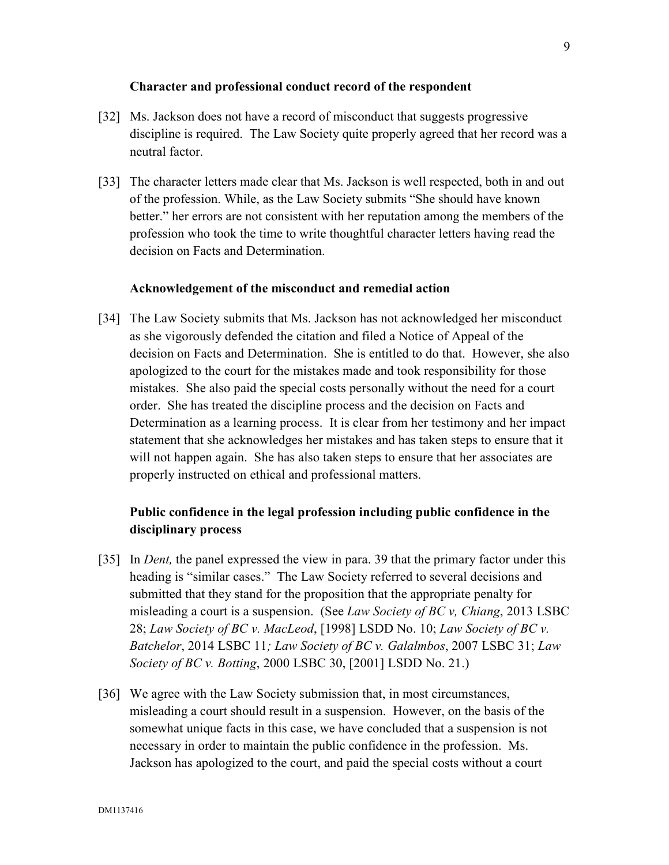### **Character and professional conduct record of the respondent**

- [32] Ms. Jackson does not have a record of misconduct that suggests progressive discipline is required. The Law Society quite properly agreed that her record was a neutral factor.
- [33] The character letters made clear that Ms. Jackson is well respected, both in and out of the profession. While, as the Law Society submits "She should have known better." her errors are not consistent with her reputation among the members of the profession who took the time to write thoughtful character letters having read the decision on Facts and Determination.

## **Acknowledgement of the misconduct and remedial action**

[34] The Law Society submits that Ms. Jackson has not acknowledged her misconduct as she vigorously defended the citation and filed a Notice of Appeal of the decision on Facts and Determination. She is entitled to do that. However, she also apologized to the court for the mistakes made and took responsibility for those mistakes. She also paid the special costs personally without the need for a court order. She has treated the discipline process and the decision on Facts and Determination as a learning process. It is clear from her testimony and her impact statement that she acknowledges her mistakes and has taken steps to ensure that it will not happen again. She has also taken steps to ensure that her associates are properly instructed on ethical and professional matters.

# **Public confidence in the legal profession including public confidence in the disciplinary process**

- [35] In *Dent,* the panel expressed the view in para. 39 that the primary factor under this heading is "similar cases." The Law Society referred to several decisions and submitted that they stand for the proposition that the appropriate penalty for misleading a court is a suspension. (See *Law Society of BC v, Chiang*, 2013 LSBC 28; *Law Society of BC v. MacLeod*, [1998] LSDD No. 10; *Law Society of BC v. Batchelor*, 2014 LSBC 11*; Law Society of BC v. Galalmbos*, 2007 LSBC 31; *Law Society of BC v. Botting*, 2000 LSBC 30, [2001] LSDD No. 21.)
- [36] We agree with the Law Society submission that, in most circumstances, misleading a court should result in a suspension. However, on the basis of the somewhat unique facts in this case, we have concluded that a suspension is not necessary in order to maintain the public confidence in the profession. Ms. Jackson has apologized to the court, and paid the special costs without a court